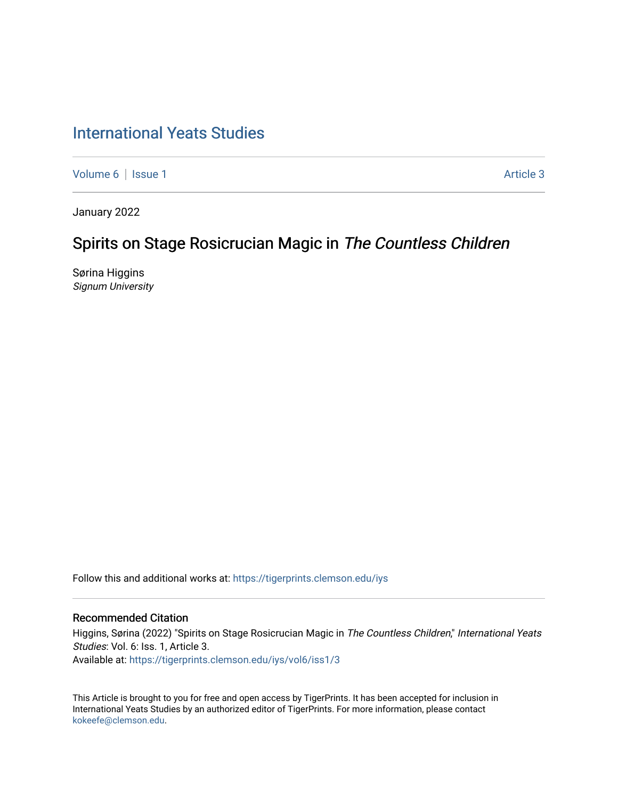## [International Yeats Studies](https://tigerprints.clemson.edu/iys)

[Volume 6](https://tigerprints.clemson.edu/iys/vol6) | [Issue 1](https://tigerprints.clemson.edu/iys/vol6/iss1) Article 3

January 2022

# Spirits on Stage Rosicrucian Magic in The Countless Children

Sørina Higgins Signum University

Follow this and additional works at: [https://tigerprints.clemson.edu/iys](https://tigerprints.clemson.edu/iys?utm_source=tigerprints.clemson.edu%2Fiys%2Fvol6%2Fiss1%2F3&utm_medium=PDF&utm_campaign=PDFCoverPages) 

#### Recommended Citation

Higgins, Sørina (2022) "Spirits on Stage Rosicrucian Magic in The Countless Children," International Yeats Studies: Vol. 6: Iss. 1, Article 3. Available at: [https://tigerprints.clemson.edu/iys/vol6/iss1/3](https://tigerprints.clemson.edu/iys/vol6/iss1/3?utm_source=tigerprints.clemson.edu%2Fiys%2Fvol6%2Fiss1%2F3&utm_medium=PDF&utm_campaign=PDFCoverPages) 

This Article is brought to you for free and open access by TigerPrints. It has been accepted for inclusion in International Yeats Studies by an authorized editor of TigerPrints. For more information, please contact [kokeefe@clemson.edu](mailto:kokeefe@clemson.edu).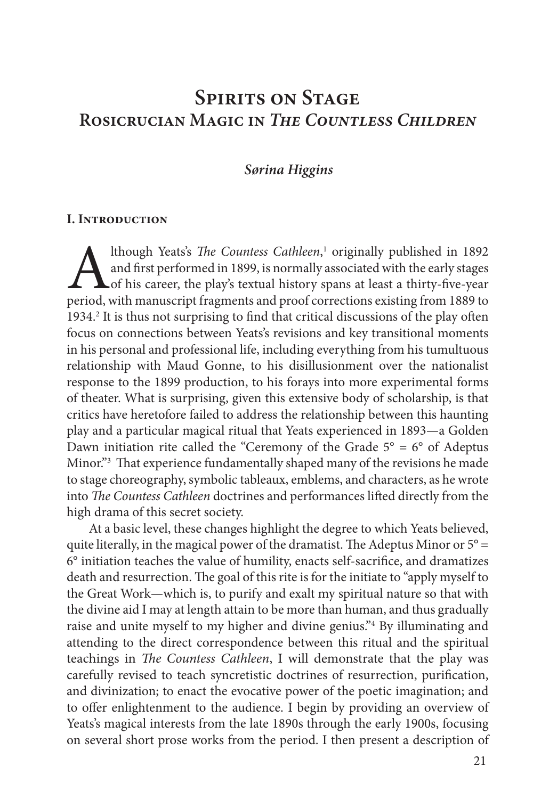## **Spirits on Stage Rosicrucian Magic in** *The Countless Children*

#### *Sørina Higgins*

#### **I. Introduction**

Although Yeats's *The Countess Cathleen*, and first performed in 1899, is normally of his career, the play's textual history speriod, with manuscript fragments and proof co 1 originally published in 1892 and first performed in 1899, is normally associated with the early stages of his career, the play's textual history spans at least a thirty-five-year period, with manuscript fragments and proof corrections existing from 1889 to 1934.<sup>2</sup> It is thus not surprising to find that critical discussions of the play often focus on connections between Yeats's revisions and key transitional moments in his personal and professional life, including everything from his tumultuous relationship with Maud Gonne, to his disillusionment over the nationalist response to the 1899 production, to his forays into more experimental forms of theater. What is surprising, given this extensive body of scholarship, is that critics have heretofore failed to address the relationship between this haunting play and a particular magical ritual that Yeats experienced in 1893—a Golden Dawn initiation rite called the "Ceremony of the Grade  $5^{\circ} = 6^{\circ}$  of Adeptus Minor."3 That experience fundamentally shaped many of the revisions he made to stage choreography, symbolic tableaux, emblems, and characters, as he wrote into *The Countess Cathleen* doctrines and performances lifted directly from the high drama of this secret society.

At a basic level, these changes highlight the degree to which Yeats believed, quite literally, in the magical power of the dramatist. The Adeptus Minor or  $5^{\circ}$  = 6° initiation teaches the value of humility, enacts self-sacrifice, and dramatizes death and resurrection. The goal of this rite is for the initiate to "apply myself to the Great Work—which is, to purify and exalt my spiritual nature so that with the divine aid I may at length attain to be more than human, and thus gradually raise and unite myself to my higher and divine genius."4 By illuminating and attending to the direct correspondence between this ritual and the spiritual teachings in *The Countess Cathleen*, I will demonstrate that the play was carefully revised to teach syncretistic doctrines of resurrection, purification, and divinization; to enact the evocative power of the poetic imagination; and to offer enlightenment to the audience. I begin by providing an overview of Yeats's magical interests from the late 1890s through the early 1900s, focusing on several short prose works from the period. I then present a description of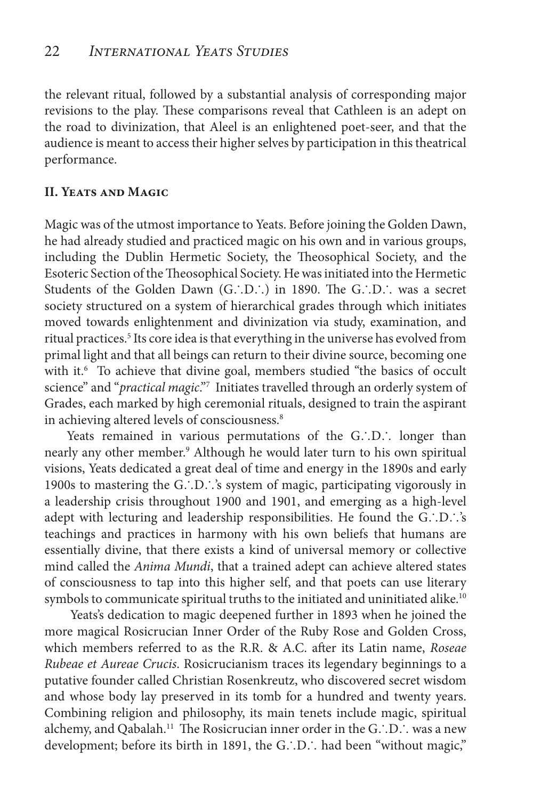the relevant ritual, followed by a substantial analysis of corresponding major revisions to the play. These comparisons reveal that Cathleen is an adept on the road to divinization, that Aleel is an enlightened poet-seer, and that the audience is meant to access their higher selves by participation in this theatrical performance.

#### **II. Yeats and Magic**

Magic was of the utmost importance to Yeats. Before joining the Golden Dawn, he had already studied and practiced magic on his own and in various groups, including the Dublin Hermetic Society, the Theosophical Society, and the Esoteric Section of the Theosophical Society. He was initiated into the Hermetic Students of the Golden Dawn (G∴D∴) in 1890. The G∴D∴ was a secret society structured on a system of hierarchical grades through which initiates moved towards enlightenment and divinization via study, examination, and ritual practices.5 Its core idea is that everything in the universe has evolved from primal light and that all beings can return to their divine source, becoming one with it.<sup>6</sup> To achieve that divine goal, members studied "the basics of occult science" and "*practical magic*."7 Initiates travelled through an orderly system of Grades, each marked by high ceremonial rituals, designed to train the aspirant in achieving altered levels of consciousness.<sup>8</sup>

Yeats remained in various permutations of the G∴D∴ longer than nearly any other member.<sup>9</sup> Although he would later turn to his own spiritual visions, Yeats dedicated a great deal of time and energy in the 1890s and early 1900s to mastering the G∴D∴'s system of magic, participating vigorously in a leadership crisis throughout 1900 and 1901, and emerging as a high-level adept with lecturing and leadership responsibilities. He found the G∴D∴'s teachings and practices in harmony with his own beliefs that humans are essentially divine, that there exists a kind of universal memory or collective mind called the *Anima Mundi*, that a trained adept can achieve altered states of consciousness to tap into this higher self, and that poets can use literary symbols to communicate spiritual truths to the initiated and uninitiated alike.<sup>10</sup>

 Yeats's dedication to magic deepened further in 1893 when he joined the more magical Rosicrucian Inner Order of the Ruby Rose and Golden Cross, which members referred to as the R.R. & A.C. after its Latin name, *Roseae Rubeae et Aureae Crucis*. Rosicrucianism traces its legendary beginnings to a putative founder called Christian Rosenkreutz, who discovered secret wisdom and whose body lay preserved in its tomb for a hundred and twenty years. Combining religion and philosophy, its main tenets include magic, spiritual alchemy, and Qabalah.11 The Rosicrucian inner order in the G∴D∴ was a new development; before its birth in 1891, the G∴D∴ had been "without magic,"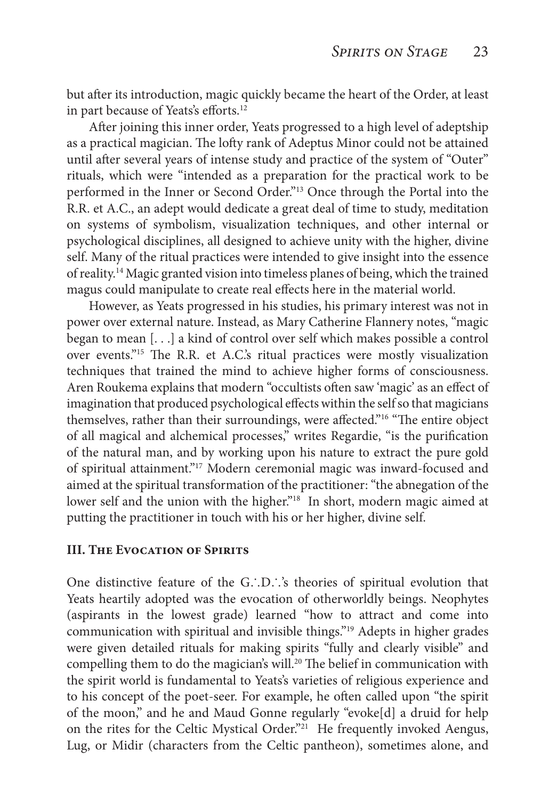but after its introduction, magic quickly became the heart of the Order, at least in part because of Yeats's efforts.<sup>12</sup>

After joining this inner order, Yeats progressed to a high level of adeptship as a practical magician. The lofty rank of Adeptus Minor could not be attained until after several years of intense study and practice of the system of "Outer" rituals, which were "intended as a preparation for the practical work to be performed in the Inner or Second Order."13 Once through the Portal into the R.R. et A.C., an adept would dedicate a great deal of time to study, meditation on systems of symbolism, visualization techniques, and other internal or psychological disciplines, all designed to achieve unity with the higher, divine self. Many of the ritual practices were intended to give insight into the essence of reality.14 Magic granted vision into timeless planes of being, which the trained magus could manipulate to create real effects here in the material world.

However, as Yeats progressed in his studies, his primary interest was not in power over external nature. Instead, as Mary Catherine Flannery notes, "magic began to mean [. . .] a kind of control over self which makes possible a control over events."15 The R.R. et A.C.'s ritual practices were mostly visualization techniques that trained the mind to achieve higher forms of consciousness. Aren Roukema explains that modern "occultists often saw 'magic' as an effect of imagination that produced psychological effects within the self so that magicians themselves, rather than their surroundings, were affected."16 "The entire object of all magical and alchemical processes," writes Regardie, "is the purification of the natural man, and by working upon his nature to extract the pure gold of spiritual attainment."17 Modern ceremonial magic was inward-focused and aimed at the spiritual transformation of the practitioner: "the abnegation of the lower self and the union with the higher."<sup>18</sup> In short, modern magic aimed at putting the practitioner in touch with his or her higher, divine self.

#### **III. THE EVOCATION OF SPIRITS**

One distinctive feature of the G∴D∴'s theories of spiritual evolution that Yeats heartily adopted was the evocation of otherworldly beings. Neophytes (aspirants in the lowest grade) learned "how to attract and come into communication with spiritual and invisible things."19 Adepts in higher grades were given detailed rituals for making spirits "fully and clearly visible" and compelling them to do the magician's will.<sup>20</sup> The belief in communication with the spirit world is fundamental to Yeats's varieties of religious experience and to his concept of the poet-seer. For example, he often called upon "the spirit of the moon," and he and Maud Gonne regularly "evoke[d] a druid for help on the rites for the Celtic Mystical Order."<sup>21</sup> He frequently invoked Aengus, Lug, or Midir (characters from the Celtic pantheon), sometimes alone, and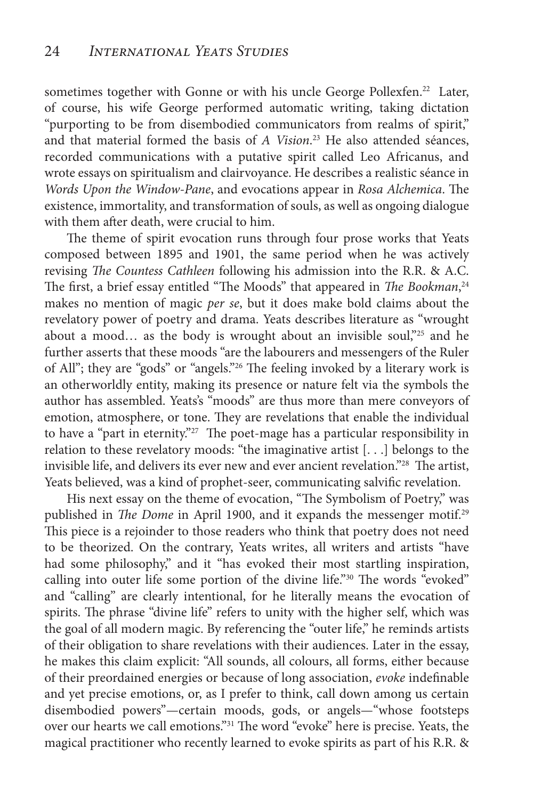sometimes together with Gonne or with his uncle George Pollexfen.<sup>22</sup> Later, of course, his wife George performed automatic writing, taking dictation "purporting to be from disembodied communicators from realms of spirit," and that material formed the basis of *A Vision*. 23 He also attended séances, recorded communications with a putative spirit called Leo Africanus, and wrote essays on spiritualism and clairvoyance. He describes a realistic séance in *Words Upon the Window-Pane*, and evocations appear in *Rosa Alchemica*. The existence, immortality, and transformation of souls, as well as ongoing dialogue with them after death, were crucial to him.

The theme of spirit evocation runs through four prose works that Yeats composed between 1895 and 1901, the same period when he was actively revising *The Countess Cathleen* following his admission into the R.R. & A.C. The first, a brief essay entitled "The Moods" that appeared in *The Bookman*, 24 makes no mention of magic *per se*, but it does make bold claims about the revelatory power of poetry and drama. Yeats describes literature as "wrought about a mood... as the body is wrought about an invisible soul,"25 and he further asserts that these moods "are the labourers and messengers of the Ruler of All"; they are "gods" or "angels."26 The feeling invoked by a literary work is an otherworldly entity, making its presence or nature felt via the symbols the author has assembled. Yeats's "moods" are thus more than mere conveyors of emotion, atmosphere, or tone. They are revelations that enable the individual to have a "part in eternity."<sup>27</sup> The poet-mage has a particular responsibility in relation to these revelatory moods: "the imaginative artist [. . .] belongs to the invisible life, and delivers its ever new and ever ancient revelation."28 The artist, Yeats believed, was a kind of prophet-seer, communicating salvific revelation.

His next essay on the theme of evocation, "The Symbolism of Poetry," was published in *The Dome* in April 1900, and it expands the messenger motif.<sup>29</sup> This piece is a rejoinder to those readers who think that poetry does not need to be theorized. On the contrary, Yeats writes, all writers and artists "have had some philosophy," and it "has evoked their most startling inspiration, calling into outer life some portion of the divine life."30 The words "evoked" and "calling" are clearly intentional, for he literally means the evocation of spirits. The phrase "divine life" refers to unity with the higher self, which was the goal of all modern magic. By referencing the "outer life," he reminds artists of their obligation to share revelations with their audiences. Later in the essay, he makes this claim explicit: "All sounds, all colours, all forms, either because of their preordained energies or because of long association, *evoke* indefinable and yet precise emotions, or, as I prefer to think, call down among us certain disembodied powers"—certain moods, gods, or angels—"whose footsteps over our hearts we call emotions."31 The word "evoke" here is precise. Yeats, the magical practitioner who recently learned to evoke spirits as part of his R.R. &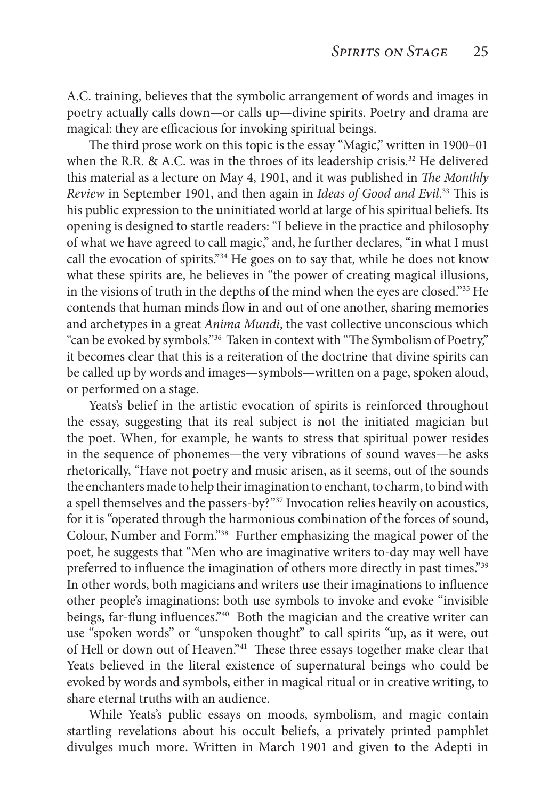A.C. training, believes that the symbolic arrangement of words and images in poetry actually calls down—or calls up—divine spirits. Poetry and drama are magical: they are efficacious for invoking spiritual beings.

The third prose work on this topic is the essay "Magic," written in 1900–01 when the R.R. & A.C. was in the throes of its leadership crisis.<sup>32</sup> He delivered this material as a lecture on May 4, 1901, and it was published in *The Monthly Review* in September 1901, and then again in *Ideas of Good and Evil*. 33 This is his public expression to the uninitiated world at large of his spiritual beliefs. Its opening is designed to startle readers: "I believe in the practice and philosophy of what we have agreed to call magic," and, he further declares, "in what I must call the evocation of spirits."<sup>34</sup> He goes on to say that, while he does not know what these spirits are, he believes in "the power of creating magical illusions, in the visions of truth in the depths of the mind when the eyes are closed."35 He contends that human minds flow in and out of one another, sharing memories and archetypes in a great *Anima Mundi*, the vast collective unconscious which "can be evoked by symbols."36 Taken in context with "The Symbolism of Poetry," it becomes clear that this is a reiteration of the doctrine that divine spirits can be called up by words and images—symbols—written on a page, spoken aloud, or performed on a stage.

Yeats's belief in the artistic evocation of spirits is reinforced throughout the essay, suggesting that its real subject is not the initiated magician but the poet. When, for example, he wants to stress that spiritual power resides in the sequence of phonemes—the very vibrations of sound waves—he asks rhetorically, "Have not poetry and music arisen, as it seems, out of the sounds the enchanters made to help their imagination to enchant, to charm, to bind with a spell themselves and the passers-by?"<sup>37</sup> Invocation relies heavily on acoustics, for it is "operated through the harmonious combination of the forces of sound, Colour, Number and Form."38 Further emphasizing the magical power of the poet, he suggests that "Men who are imaginative writers to-day may well have preferred to influence the imagination of others more directly in past times."<sup>39</sup> In other words, both magicians and writers use their imaginations to influence other people's imaginations: both use symbols to invoke and evoke "invisible beings, far-flung influences."40 Both the magician and the creative writer can use "spoken words" or "unspoken thought" to call spirits "up, as it were, out of Hell or down out of Heaven."41 These three essays together make clear that Yeats believed in the literal existence of supernatural beings who could be evoked by words and symbols, either in magical ritual or in creative writing, to share eternal truths with an audience.

While Yeats's public essays on moods, symbolism, and magic contain startling revelations about his occult beliefs, a privately printed pamphlet divulges much more. Written in March 1901 and given to the Adepti in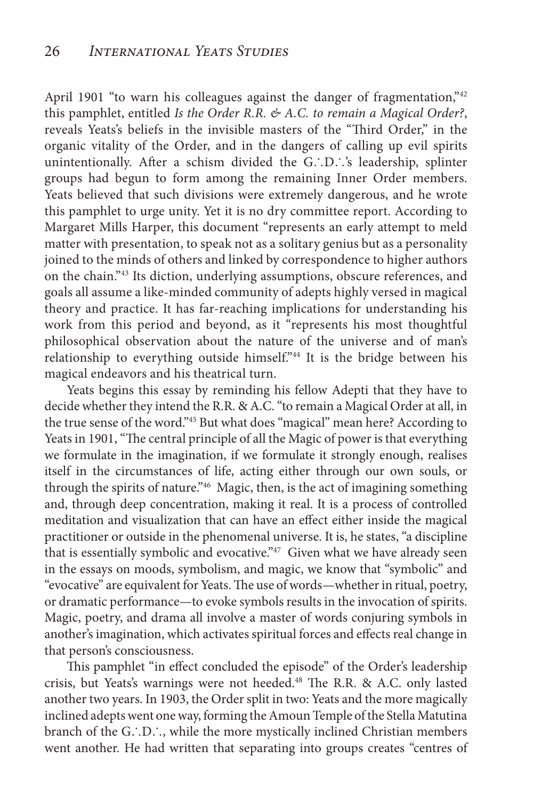April 1901 "to warn his colleagues against the danger of fragmentation,"42 this pamphlet, entitled *Is the Order R.R. & A.C. to remain a Magical Order?*, reveals Yeats's beliefs in the invisible masters of the "Third Order," in the organic vitality of the Order, and in the dangers of calling up evil spirits unintentionally. After a schism divided the G∴D∴'s leadership, splinter groups had begun to form among the remaining Inner Order members. Yeats believed that such divisions were extremely dangerous, and he wrote this pamphlet to urge unity. Yet it is no dry committee report. According to Margaret Mills Harper, this document "represents an early attempt to meld matter with presentation, to speak not as a solitary genius but as a personality joined to the minds of others and linked by correspondence to higher authors on the chain."43 Its diction, underlying assumptions, obscure references, and goals all assume a like-minded community of adepts highly versed in magical theory and practice. It has far-reaching implications for understanding his work from this period and beyond, as it "represents his most thoughtful philosophical observation about the nature of the universe and of man's relationship to everything outside himself."44 It is the bridge between his magical endeavors and his theatrical turn.

Yeats begins this essay by reminding his fellow Adepti that they have to decide whether they intend the R.R. & A.C. "to remain a Magical Order at all, in the true sense of the word."45 But what does "magical" mean here? According to Yeats in 1901, "The central principle of all the Magic of power is that everything we formulate in the imagination, if we formulate it strongly enough, realises itself in the circumstances of life, acting either through our own souls, or through the spirits of nature."46 Magic, then, is the act of imagining something and, through deep concentration, making it real. It is a process of controlled meditation and visualization that can have an effect either inside the magical practitioner or outside in the phenomenal universe. It is, he states, "a discipline that is essentially symbolic and evocative."<sup>47</sup> Given what we have already seen in the essays on moods, symbolism, and magic, we know that "symbolic" and "evocative" are equivalent for Yeats. The use of words—whether in ritual, poetry, or dramatic performance—to evoke symbols results in the invocation of spirits. Magic, poetry, and drama all involve a master of words conjuring symbols in another's imagination, which activates spiritual forces and effects real change in that person's consciousness.

This pamphlet "in effect concluded the episode" of the Order's leadership crisis, but Yeats's warnings were not heeded.<sup>48</sup> The R.R. & A.C. only lasted another two years. In 1903, the Order split in two: Yeats and the more magically inclined adepts went one way, forming the Amoun Temple of the Stella Matutina branch of the G∴D∴, while the more mystically inclined Christian members went another. He had written that separating into groups creates "centres of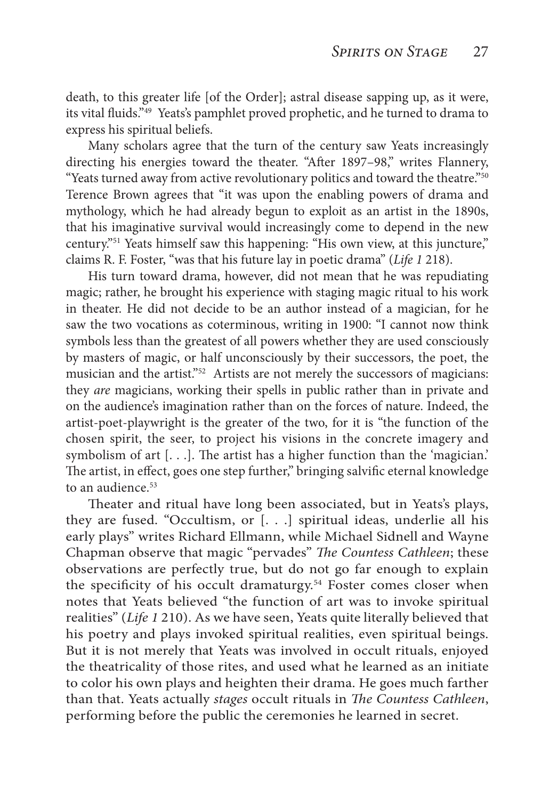death, to this greater life [of the Order]; astral disease sapping up, as it were, its vital fluids."49 Yeats's pamphlet proved prophetic, and he turned to drama to express his spiritual beliefs.

Many scholars agree that the turn of the century saw Yeats increasingly directing his energies toward the theater. "After 1897–98," writes Flannery, "Yeats turned away from active revolutionary politics and toward the theatre."50 Terence Brown agrees that "it was upon the enabling powers of drama and mythology, which he had already begun to exploit as an artist in the 1890s, that his imaginative survival would increasingly come to depend in the new century."51 Yeats himself saw this happening: "His own view, at this juncture," claims R. F. Foster, "was that his future lay in poetic drama" (*Life 1* 218).

His turn toward drama, however, did not mean that he was repudiating magic; rather, he brought his experience with staging magic ritual to his work in theater. He did not decide to be an author instead of a magician, for he saw the two vocations as coterminous, writing in 1900: "I cannot now think symbols less than the greatest of all powers whether they are used consciously by masters of magic, or half unconsciously by their successors, the poet, the musician and the artist."<sup>52</sup> Artists are not merely the successors of magicians: they *are* magicians, working their spells in public rather than in private and on the audience's imagination rather than on the forces of nature. Indeed, the artist-poet-playwright is the greater of the two, for it is "the function of the chosen spirit, the seer, to project his visions in the concrete imagery and symbolism of art [. . .]. The artist has a higher function than the 'magician.' The artist, in effect, goes one step further," bringing salvific eternal knowledge to an audience.<sup>53</sup>

Theater and ritual have long been associated, but in Yeats's plays, they are fused. "Occultism, or [. . .] spiritual ideas, underlie all his early plays" writes Richard Ellmann, while Michael Sidnell and Wayne Chapman observe that magic "pervades" *The Countess Cathleen*; these observations are perfectly true, but do not go far enough to explain the specificity of his occult dramaturgy.<sup>54</sup> Foster comes closer when notes that Yeats believed "the function of art was to invoke spiritual realities" (*Life 1* 210). As we have seen, Yeats quite literally believed that his poetry and plays invoked spiritual realities, even spiritual beings. But it is not merely that Yeats was involved in occult rituals, enjoyed the theatricality of those rites, and used what he learned as an initiate to color his own plays and heighten their drama. He goes much farther than that. Yeats actually *stages* occult rituals in *The Countess Cathleen*, performing before the public the ceremonies he learned in secret.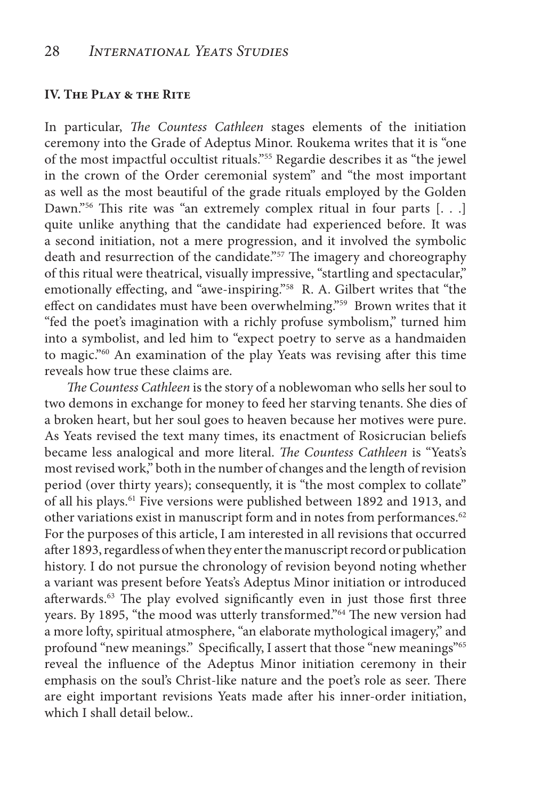#### **IV. The Play & the Rite**

In particular, *The Countess Cathleen* stages elements of the initiation ceremony into the Grade of Adeptus Minor. Roukema writes that it is "one of the most impactful occultist rituals."55 Regardie describes it as "the jewel in the crown of the Order ceremonial system" and "the most important as well as the most beautiful of the grade rituals employed by the Golden Dawn."<sup>56</sup> This rite was "an extremely complex ritual in four parts [...] quite unlike anything that the candidate had experienced before. It was a second initiation, not a mere progression, and it involved the symbolic death and resurrection of the candidate."<sup>57</sup> The imagery and choreography of this ritual were theatrical, visually impressive, "startling and spectacular," emotionally effecting, and "awe-inspiring."<sup>58</sup> R. A. Gilbert writes that "the effect on candidates must have been overwhelming."59 Brown writes that it "fed the poet's imagination with a richly profuse symbolism," turned him into a symbolist, and led him to "expect poetry to serve as a handmaiden to magic."60 An examination of the play Yeats was revising after this time reveals how true these claims are.

*The Countess Cathleen* is the story of a noblewoman who sells her soul to two demons in exchange for money to feed her starving tenants. She dies of a broken heart, but her soul goes to heaven because her motives were pure. As Yeats revised the text many times, its enactment of Rosicrucian beliefs became less analogical and more literal. *The Countess Cathleen* is "Yeats's most revised work," both in the number of changes and the length of revision period (over thirty years); consequently, it is "the most complex to collate" of all his plays.61 Five versions were published between 1892 and 1913, and other variations exist in manuscript form and in notes from performances.<sup>62</sup> For the purposes of this article, I am interested in all revisions that occurred after 1893, regardless of when they enter the manuscript record or publication history. I do not pursue the chronology of revision beyond noting whether a variant was present before Yeats's Adeptus Minor initiation or introduced afterwards.<sup>63</sup> The play evolved significantly even in just those first three years. By 1895, "the mood was utterly transformed."64 The new version had a more lofty, spiritual atmosphere, "an elaborate mythological imagery," and profound "new meanings." Specifically, I assert that those "new meanings"<sup>65</sup> reveal the influence of the Adeptus Minor initiation ceremony in their emphasis on the soul's Christ-like nature and the poet's role as seer. There are eight important revisions Yeats made after his inner-order initiation, which I shall detail below..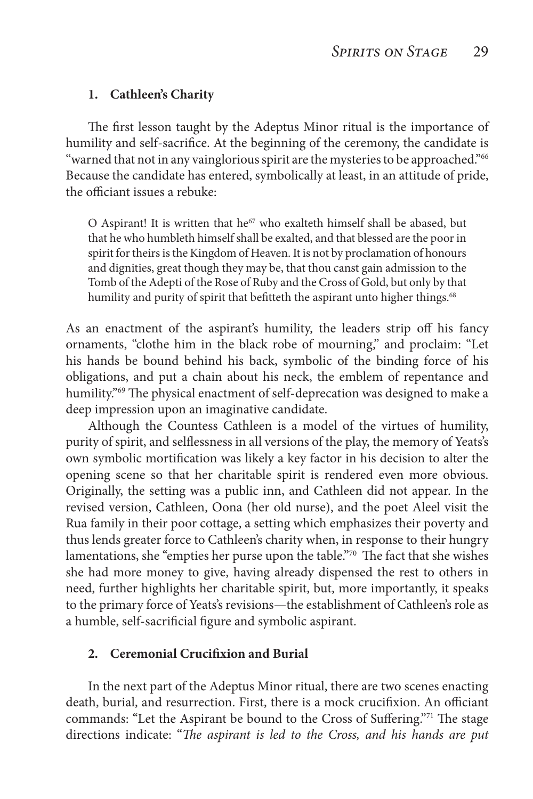#### **1. Cathleen's Charity**

The first lesson taught by the Adeptus Minor ritual is the importance of humility and self-sacrifice. At the beginning of the ceremony, the candidate is "warned that not in any vainglorious spirit are the mysteries to be approached."<sup>66</sup> Because the candidate has entered, symbolically at least, in an attitude of pride, the officiant issues a rebuke:

O Aspirant! It is written that  $he^{67}$  who exalteth himself shall be abased, but that he who humbleth himself shall be exalted, and that blessed are the poor in spirit for theirs is the Kingdom of Heaven. It is not by proclamation of honours and dignities, great though they may be, that thou canst gain admission to the Tomb of the Adepti of the Rose of Ruby and the Cross of Gold, but only by that humility and purity of spirit that befitteth the aspirant unto higher things.<sup>68</sup>

As an enactment of the aspirant's humility, the leaders strip off his fancy ornaments, "clothe him in the black robe of mourning," and proclaim: "Let his hands be bound behind his back, symbolic of the binding force of his obligations, and put a chain about his neck, the emblem of repentance and humility."<sup>69</sup> The physical enactment of self-deprecation was designed to make a deep impression upon an imaginative candidate.

Although the Countess Cathleen is a model of the virtues of humility, purity of spirit, and selflessness in all versions of the play, the memory of Yeats's own symbolic mortification was likely a key factor in his decision to alter the opening scene so that her charitable spirit is rendered even more obvious. Originally, the setting was a public inn, and Cathleen did not appear. In the revised version, Cathleen, Oona (her old nurse), and the poet Aleel visit the Rua family in their poor cottage, a setting which emphasizes their poverty and thus lends greater force to Cathleen's charity when, in response to their hungry lamentations, she "empties her purse upon the table."<sup>70</sup> The fact that she wishes she had more money to give, having already dispensed the rest to others in need, further highlights her charitable spirit, but, more importantly, it speaks to the primary force of Yeats's revisions—the establishment of Cathleen's role as a humble, self-sacrificial figure and symbolic aspirant.

#### **2. Ceremonial Crucifixion and Burial**

In the next part of the Adeptus Minor ritual, there are two scenes enacting death, burial, and resurrection. First, there is a mock crucifixion. An officiant commands: "Let the Aspirant be bound to the Cross of Suffering."<sup>71</sup> The stage directions indicate: "*The aspirant is led to the Cross, and his hands are put*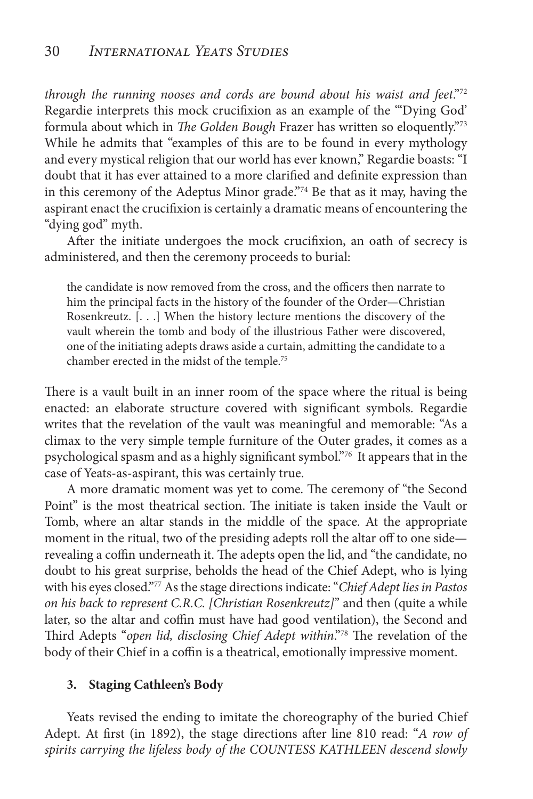*through the running nooses and cords are bound about his waist and feet*."72 Regardie interprets this mock crucifixion as an example of the "'Dying God' formula about which in *The Golden Bough* Frazer has written so eloquently."73 While he admits that "examples of this are to be found in every mythology and every mystical religion that our world has ever known," Regardie boasts: "I doubt that it has ever attained to a more clarified and definite expression than in this ceremony of the Adeptus Minor grade."74 Be that as it may, having the aspirant enact the crucifixion is certainly a dramatic means of encountering the "dying god" myth.

After the initiate undergoes the mock crucifixion, an oath of secrecy is administered, and then the ceremony proceeds to burial:

the candidate is now removed from the cross, and the officers then narrate to him the principal facts in the history of the founder of the Order—Christian Rosenkreutz. [. . .] When the history lecture mentions the discovery of the vault wherein the tomb and body of the illustrious Father were discovered, one of the initiating adepts draws aside a curtain, admitting the candidate to a chamber erected in the midst of the temple.75

There is a vault built in an inner room of the space where the ritual is being enacted: an elaborate structure covered with significant symbols. Regardie writes that the revelation of the vault was meaningful and memorable: "As a climax to the very simple temple furniture of the Outer grades, it comes as a psychological spasm and as a highly significant symbol."76 It appears that in the case of Yeats-as-aspirant, this was certainly true.

A more dramatic moment was yet to come. The ceremony of "the Second Point" is the most theatrical section. The initiate is taken inside the Vault or Tomb, where an altar stands in the middle of the space. At the appropriate moment in the ritual, two of the presiding adepts roll the altar off to one side revealing a coffin underneath it. The adepts open the lid, and "the candidate, no doubt to his great surprise, beholds the head of the Chief Adept, who is lying with his eyes closed."77 As the stage directions indicate: "*Chief Adept lies in Pastos on his back to represent C.R.C. [Christian Rosenkreutz]*" and then (quite a while later, so the altar and coffin must have had good ventilation), the Second and Third Adepts "*open lid, disclosing Chief Adept within*."78 The revelation of the body of their Chief in a coffin is a theatrical, emotionally impressive moment.

#### **3. Staging Cathleen's Body**

Yeats revised the ending to imitate the choreography of the buried Chief Adept. At first (in 1892), the stage directions after line 810 read: "*A row of spirits carrying the lifeless body of the COUNTESS KATHLEEN descend slowly*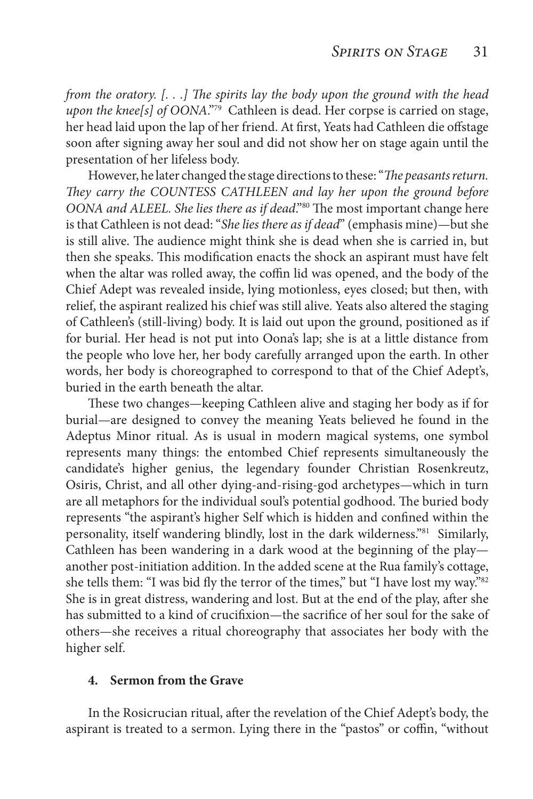*from the oratory. [. . .] The spirits lay the body upon the ground with the head upon the knee[s] of OONA*."79 Cathleen is dead. Her corpse is carried on stage, her head laid upon the lap of her friend. At first, Yeats had Cathleen die offstage soon after signing away her soul and did not show her on stage again until the presentation of her lifeless body.

However, he later changed the stage directions to these: "*The peasants return. They carry the COUNTESS CATHLEEN and lay her upon the ground before OONA and ALEEL. She lies there as if dead*."80 The most important change here is that Cathleen is not dead: "*She lies there as if dead*" (emphasis mine)—but she is still alive. The audience might think she is dead when she is carried in, but then she speaks. This modification enacts the shock an aspirant must have felt when the altar was rolled away, the coffin lid was opened, and the body of the Chief Adept was revealed inside, lying motionless, eyes closed; but then, with relief, the aspirant realized his chief was still alive. Yeats also altered the staging of Cathleen's (still-living) body. It is laid out upon the ground, positioned as if for burial. Her head is not put into Oona's lap; she is at a little distance from the people who love her, her body carefully arranged upon the earth. In other words, her body is choreographed to correspond to that of the Chief Adept's, buried in the earth beneath the altar.

These two changes—keeping Cathleen alive and staging her body as if for burial—are designed to convey the meaning Yeats believed he found in the Adeptus Minor ritual. As is usual in modern magical systems, one symbol represents many things: the entombed Chief represents simultaneously the candidate's higher genius, the legendary founder Christian Rosenkreutz, Osiris, Christ, and all other dying-and-rising-god archetypes—which in turn are all metaphors for the individual soul's potential godhood. The buried body represents "the aspirant's higher Self which is hidden and confined within the personality, itself wandering blindly, lost in the dark wilderness."81 Similarly, Cathleen has been wandering in a dark wood at the beginning of the play another post-initiation addition. In the added scene at the Rua family's cottage, she tells them: "I was bid fly the terror of the times," but "I have lost my way."<sup>82</sup> She is in great distress, wandering and lost. But at the end of the play, after she has submitted to a kind of crucifixion—the sacrifice of her soul for the sake of others—she receives a ritual choreography that associates her body with the higher self.

#### **4. Sermon from the Grave**

In the Rosicrucian ritual, after the revelation of the Chief Adept's body, the aspirant is treated to a sermon. Lying there in the "pastos" or coffin, "without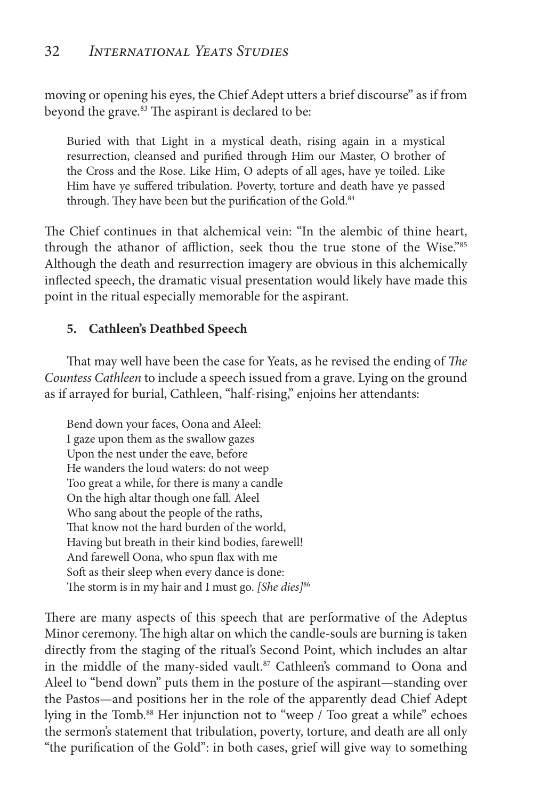moving or opening his eyes, the Chief Adept utters a brief discourse" as if from beyond the grave.<sup>83</sup> The aspirant is declared to be:

Buried with that Light in a mystical death, rising again in a mystical resurrection, cleansed and purified through Him our Master, O brother of the Cross and the Rose. Like Him, O adepts of all ages, have ye toiled. Like Him have ye suffered tribulation. Poverty, torture and death have ye passed through. They have been but the purification of the Gold.<sup>84</sup>

The Chief continues in that alchemical vein: "In the alembic of thine heart, through the athanor of affliction, seek thou the true stone of the Wise."85 Although the death and resurrection imagery are obvious in this alchemically inflected speech, the dramatic visual presentation would likely have made this point in the ritual especially memorable for the aspirant.

### **5. Cathleen's Deathbed Speech**

That may well have been the case for Yeats, as he revised the ending of *The Countess Cathleen* to include a speech issued from a grave. Lying on the ground as if arrayed for burial, Cathleen, "half-rising," enjoins her attendants:

Bend down your faces, Oona and Aleel: I gaze upon them as the swallow gazes Upon the nest under the eave, before He wanders the loud waters: do not weep Too great a while, for there is many a candle On the high altar though one fall. Aleel Who sang about the people of the raths, That know not the hard burden of the world, Having but breath in their kind bodies, farewell! And farewell Oona, who spun flax with me Soft as their sleep when every dance is done: The storm is in my hair and I must go. *[She dies]*86

There are many aspects of this speech that are performative of the Adeptus Minor ceremony. The high altar on which the candle-souls are burning is taken directly from the staging of the ritual's Second Point, which includes an altar in the middle of the many-sided vault.<sup>87</sup> Cathleen's command to Oona and Aleel to "bend down" puts them in the posture of the aspirant—standing over the Pastos—and positions her in the role of the apparently dead Chief Adept lying in the Tomb.<sup>88</sup> Her injunction not to "weep / Too great a while" echoes the sermon's statement that tribulation, poverty, torture, and death are all only "the purification of the Gold": in both cases, grief will give way to something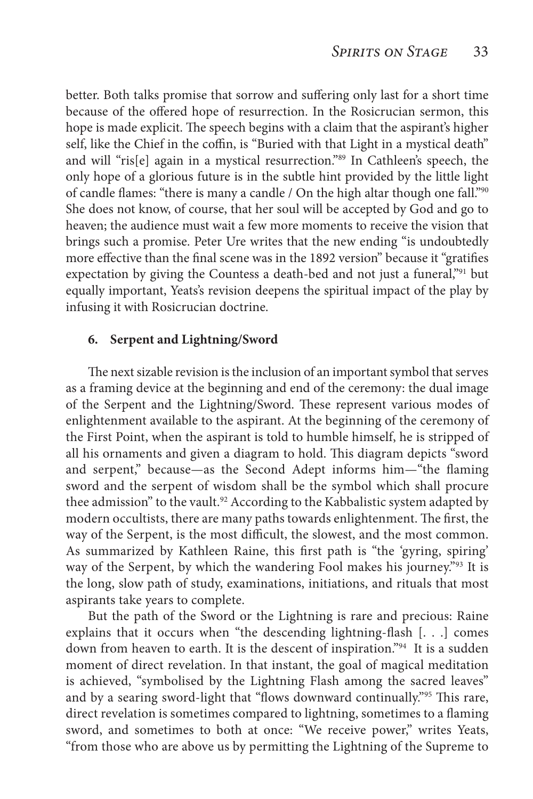better. Both talks promise that sorrow and suffering only last for a short time because of the offered hope of resurrection. In the Rosicrucian sermon, this hope is made explicit. The speech begins with a claim that the aspirant's higher self, like the Chief in the coffin, is "Buried with that Light in a mystical death" and will "ris[e] again in a mystical resurrection."89 In Cathleen's speech, the only hope of a glorious future is in the subtle hint provided by the little light of candle flames: "there is many a candle / On the high altar though one fall."90 She does not know, of course, that her soul will be accepted by God and go to heaven; the audience must wait a few more moments to receive the vision that brings such a promise. Peter Ure writes that the new ending "is undoubtedly more effective than the final scene was in the 1892 version" because it "gratifies expectation by giving the Countess a death-bed and not just a funeral,"91 but equally important, Yeats's revision deepens the spiritual impact of the play by infusing it with Rosicrucian doctrine.

#### **6. Serpent and Lightning/Sword**

The next sizable revision is the inclusion of an important symbol that serves as a framing device at the beginning and end of the ceremony: the dual image of the Serpent and the Lightning/Sword. These represent various modes of enlightenment available to the aspirant. At the beginning of the ceremony of the First Point, when the aspirant is told to humble himself, he is stripped of all his ornaments and given a diagram to hold. This diagram depicts "sword and serpent," because—as the Second Adept informs him—"the flaming sword and the serpent of wisdom shall be the symbol which shall procure thee admission" to the vault.<sup>92</sup> According to the Kabbalistic system adapted by modern occultists, there are many paths towards enlightenment. The first, the way of the Serpent, is the most difficult, the slowest, and the most common. As summarized by Kathleen Raine, this first path is "the 'gyring, spiring' way of the Serpent, by which the wandering Fool makes his journey."93 It is the long, slow path of study, examinations, initiations, and rituals that most aspirants take years to complete.

But the path of the Sword or the Lightning is rare and precious: Raine explains that it occurs when "the descending lightning-flash [. . .] comes down from heaven to earth. It is the descent of inspiration."94 It is a sudden moment of direct revelation. In that instant, the goal of magical meditation is achieved, "symbolised by the Lightning Flash among the sacred leaves" and by a searing sword-light that "flows downward continually."95 This rare, direct revelation is sometimes compared to lightning, sometimes to a flaming sword, and sometimes to both at once: "We receive power," writes Yeats, "from those who are above us by permitting the Lightning of the Supreme to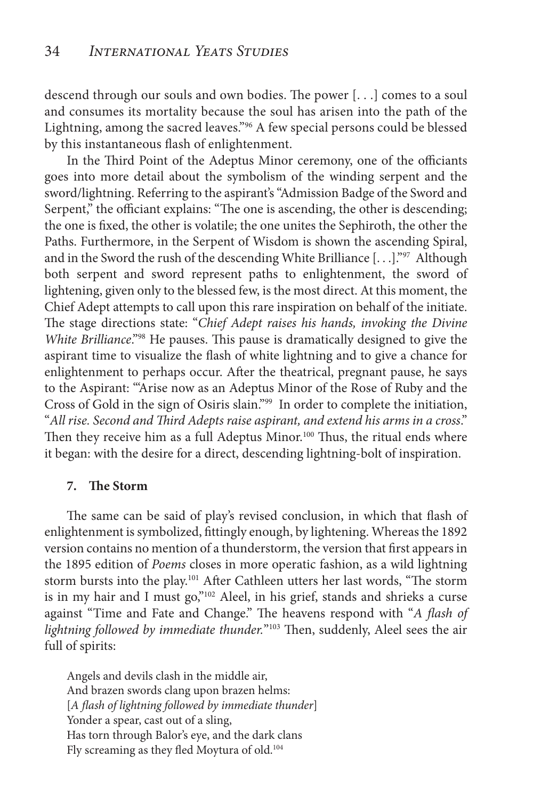descend through our souls and own bodies. The power [. . .] comes to a soul and consumes its mortality because the soul has arisen into the path of the Lightning, among the sacred leaves."96 A few special persons could be blessed by this instantaneous flash of enlightenment.

In the Third Point of the Adeptus Minor ceremony, one of the officiants goes into more detail about the symbolism of the winding serpent and the sword/lightning. Referring to the aspirant's "Admission Badge of the Sword and Serpent," the officiant explains: "The one is ascending, the other is descending; the one is fixed, the other is volatile; the one unites the Sephiroth, the other the Paths. Furthermore, in the Serpent of Wisdom is shown the ascending Spiral, and in the Sword the rush of the descending White Brilliance [. . .]."97 Although both serpent and sword represent paths to enlightenment, the sword of lightening, given only to the blessed few, is the most direct. At this moment, the Chief Adept attempts to call upon this rare inspiration on behalf of the initiate. The stage directions state: "*Chief Adept raises his hands, invoking the Divine White Brilliance*."98 He pauses. This pause is dramatically designed to give the aspirant time to visualize the flash of white lightning and to give a chance for enlightenment to perhaps occur. After the theatrical, pregnant pause, he says to the Aspirant: "'Arise now as an Adeptus Minor of the Rose of Ruby and the Cross of Gold in the sign of Osiris slain."99 In order to complete the initiation, "*All rise. Second and Third Adepts raise aspirant, and extend his arms in a cross*." Then they receive him as a full Adeptus Minor.<sup>100</sup> Thus, the ritual ends where it began: with the desire for a direct, descending lightning-bolt of inspiration.

#### **7. The Storm**

The same can be said of play's revised conclusion, in which that flash of enlightenment is symbolized, fittingly enough, by lightening. Whereas the 1892 version contains no mention of a thunderstorm, the version that first appears in the 1895 edition of *Poems* closes in more operatic fashion, as a wild lightning storm bursts into the play.<sup>101</sup> After Cathleen utters her last words, "The storm is in my hair and I must go,"102 Aleel, in his grief, stands and shrieks a curse against "Time and Fate and Change." The heavens respond with "*A flash of lightning followed by immediate thunder.*"103 Then, suddenly, Aleel sees the air full of spirits:

Angels and devils clash in the middle air, And brazen swords clang upon brazen helms: [*A flash of lightning followed by immediate thunder*] Yonder a spear, cast out of a sling, Has torn through Balor's eye, and the dark clans Fly screaming as they fled Moytura of old.<sup>104</sup>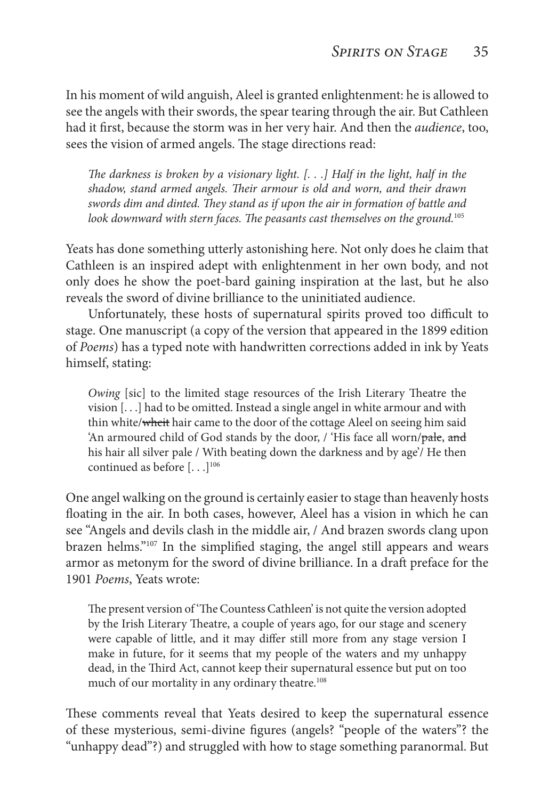In his moment of wild anguish, Aleel is granted enlightenment: he is allowed to see the angels with their swords, the spear tearing through the air. But Cathleen had it first, because the storm was in her very hair. And then the *audience*, too, sees the vision of armed angels. The stage directions read:

*The darkness is broken by a visionary light. [. . .] Half in the light, half in the shadow, stand armed angels. Their armour is old and worn, and their drawn swords dim and dinted. They stand as if upon the air in formation of battle and look downward with stern faces. The peasants cast themselves on the ground.*<sup>105</sup>

Yeats has done something utterly astonishing here. Not only does he claim that Cathleen is an inspired adept with enlightenment in her own body, and not only does he show the poet-bard gaining inspiration at the last, but he also reveals the sword of divine brilliance to the uninitiated audience.

Unfortunately, these hosts of supernatural spirits proved too difficult to stage. One manuscript (a copy of the version that appeared in the 1899 edition of *Poems*) has a typed note with handwritten corrections added in ink by Yeats himself, stating:

*Owing* [sic] to the limited stage resources of the Irish Literary Theatre the vision [. . .] had to be omitted. Instead a single angel in white armour and with thin white/wheit hair came to the door of the cottage Aleel on seeing him said 'An armoured child of God stands by the door, / 'His face all worn/pale, and his hair all silver pale / With beating down the darkness and by age'/ He then continued as before  $[...]^{106}$ 

One angel walking on the ground is certainly easier to stage than heavenly hosts floating in the air. In both cases, however, Aleel has a vision in which he can see "Angels and devils clash in the middle air, / And brazen swords clang upon brazen helms."<sup>107</sup> In the simplified staging, the angel still appears and wears armor as metonym for the sword of divine brilliance. In a draft preface for the 1901 *Poems*, Yeats wrote:

The present version of 'The Countess Cathleen' is not quite the version adopted by the Irish Literary Theatre, a couple of years ago, for our stage and scenery were capable of little, and it may differ still more from any stage version I make in future, for it seems that my people of the waters and my unhappy dead, in the Third Act, cannot keep their supernatural essence but put on too much of our mortality in any ordinary theatre.<sup>108</sup>

These comments reveal that Yeats desired to keep the supernatural essence of these mysterious, semi-divine figures (angels? "people of the waters"? the "unhappy dead"?) and struggled with how to stage something paranormal. But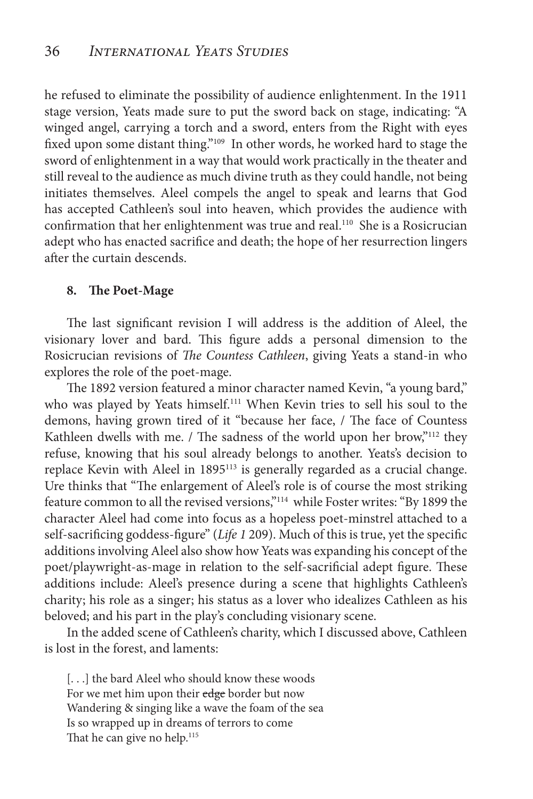he refused to eliminate the possibility of audience enlightenment. In the 1911 stage version, Yeats made sure to put the sword back on stage, indicating: "A winged angel, carrying a torch and a sword, enters from the Right with eyes fixed upon some distant thing."109 In other words, he worked hard to stage the sword of enlightenment in a way that would work practically in the theater and still reveal to the audience as much divine truth as they could handle, not being initiates themselves. Aleel compels the angel to speak and learns that God has accepted Cathleen's soul into heaven, which provides the audience with confirmation that her enlightenment was true and real.<sup>110</sup> She is a Rosicrucian adept who has enacted sacrifice and death; the hope of her resurrection lingers after the curtain descends.

#### **8. The Poet-Mage**

The last significant revision I will address is the addition of Aleel, the visionary lover and bard. This figure adds a personal dimension to the Rosicrucian revisions of *The Countess Cathleen*, giving Yeats a stand-in who explores the role of the poet-mage.

The 1892 version featured a minor character named Kevin, "a young bard," who was played by Yeats himself.<sup>111</sup> When Kevin tries to sell his soul to the demons, having grown tired of it "because her face, / The face of Countess Kathleen dwells with me. / The sadness of the world upon her brow,"<sup>112</sup> they refuse, knowing that his soul already belongs to another. Yeats's decision to replace Kevin with Aleel in 1895113 is generally regarded as a crucial change. Ure thinks that "The enlargement of Aleel's role is of course the most striking feature common to all the revised versions,"114 while Foster writes: "By 1899 the character Aleel had come into focus as a hopeless poet-minstrel attached to a self-sacrificing goddess-figure" (*Life 1* 209). Much of this is true, yet the specific additions involving Aleel also show how Yeats was expanding his concept of the poet/playwright-as-mage in relation to the self-sacrificial adept figure. These additions include: Aleel's presence during a scene that highlights Cathleen's charity; his role as a singer; his status as a lover who idealizes Cathleen as his beloved; and his part in the play's concluding visionary scene.

In the added scene of Cathleen's charity, which I discussed above, Cathleen is lost in the forest, and laments:

[...] the bard Aleel who should know these woods For we met him upon their edge border but now Wandering & singing like a wave the foam of the sea Is so wrapped up in dreams of terrors to come That he can give no help.<sup>115</sup>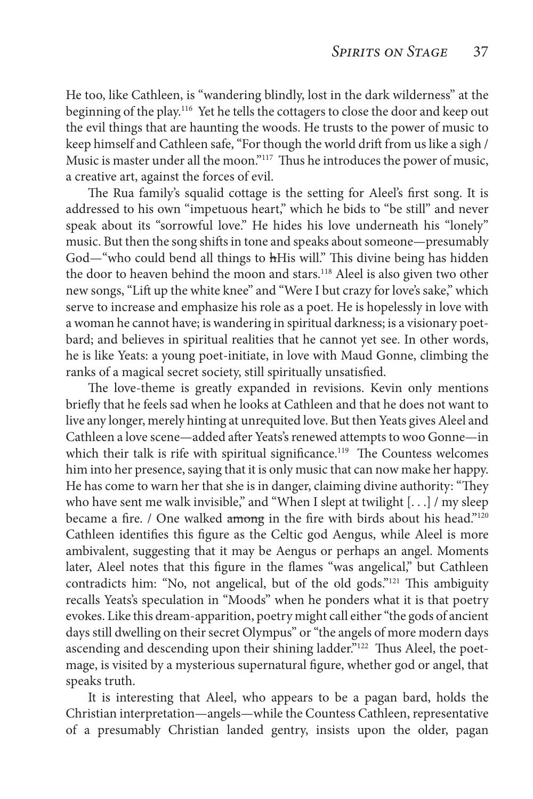He too, like Cathleen, is "wandering blindly, lost in the dark wilderness" at the beginning of the play.116 Yet he tells the cottagers to close the door and keep out the evil things that are haunting the woods. He trusts to the power of music to keep himself and Cathleen safe, "For though the world drift from us like a sigh / Music is master under all the moon."117 Thus he introduces the power of music, a creative art, against the forces of evil.

The Rua family's squalid cottage is the setting for Aleel's first song. It is addressed to his own "impetuous heart," which he bids to "be still" and never speak about its "sorrowful love." He hides his love underneath his "lonely" music. But then the song shifts in tone and speaks about someone—presumably God—"who could bend all things to hHis will." This divine being has hidden the door to heaven behind the moon and stars.<sup>118</sup> Aleel is also given two other new songs, "Lift up the white knee" and "Were I but crazy for love's sake," which serve to increase and emphasize his role as a poet. He is hopelessly in love with a woman he cannot have; is wandering in spiritual darkness; is a visionary poetbard; and believes in spiritual realities that he cannot yet see. In other words, he is like Yeats: a young poet-initiate, in love with Maud Gonne, climbing the ranks of a magical secret society, still spiritually unsatisfied.

The love-theme is greatly expanded in revisions. Kevin only mentions briefly that he feels sad when he looks at Cathleen and that he does not want to live any longer, merely hinting at unrequited love. But then Yeats gives Aleel and Cathleen a love scene—added after Yeats's renewed attempts to woo Gonne—in which their talk is rife with spiritual significance.<sup>119</sup> The Countess welcomes him into her presence, saying that it is only music that can now make her happy. He has come to warn her that she is in danger, claiming divine authority: "They who have sent me walk invisible," and "When I slept at twilight [...] / my sleep became a fire. / One walked among in the fire with birds about his head."<sup>120</sup> Cathleen identifies this figure as the Celtic god Aengus, while Aleel is more ambivalent, suggesting that it may be Aengus or perhaps an angel. Moments later, Aleel notes that this figure in the flames "was angelical," but Cathleen contradicts him: "No, not angelical, but of the old gods."121 This ambiguity recalls Yeats's speculation in "Moods" when he ponders what it is that poetry evokes. Like this dream-apparition, poetry might call either "the gods of ancient days still dwelling on their secret Olympus" or "the angels of more modern days ascending and descending upon their shining ladder."<sup>122</sup> Thus Aleel, the poetmage, is visited by a mysterious supernatural figure, whether god or angel, that speaks truth.

It is interesting that Aleel, who appears to be a pagan bard, holds the Christian interpretation—angels—while the Countess Cathleen, representative of a presumably Christian landed gentry, insists upon the older, pagan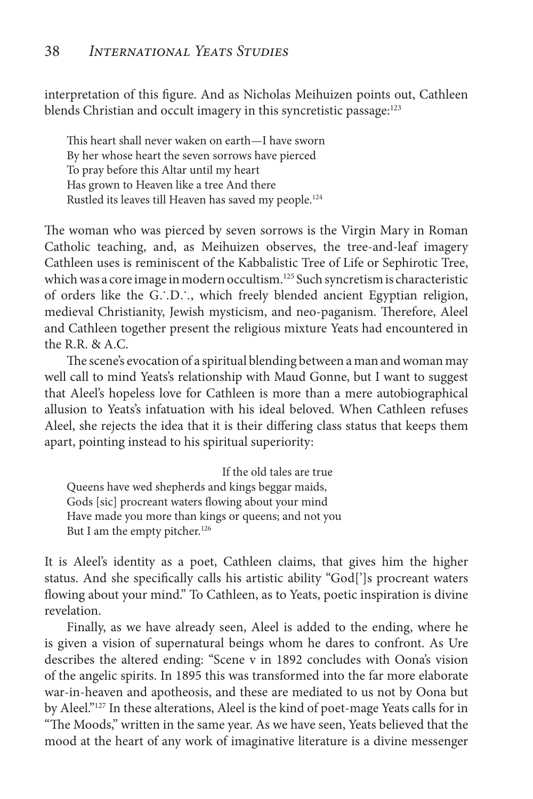interpretation of this figure. And as Nicholas Meihuizen points out, Cathleen blends Christian and occult imagery in this syncretistic passage:<sup>123</sup>

This heart shall never waken on earth—I have sworn By her whose heart the seven sorrows have pierced To pray before this Altar until my heart Has grown to Heaven like a tree And there Rustled its leaves till Heaven has saved my people.<sup>124</sup>

The woman who was pierced by seven sorrows is the Virgin Mary in Roman Catholic teaching, and, as Meihuizen observes, the tree-and-leaf imagery Cathleen uses is reminiscent of the Kabbalistic Tree of Life or Sephirotic Tree, which was a core image in modern occultism.<sup>125</sup> Such syncretism is characteristic of orders like the G∴D∴, which freely blended ancient Egyptian religion, medieval Christianity, Jewish mysticism, and neo-paganism. Therefore, Aleel and Cathleen together present the religious mixture Yeats had encountered in the R.R. & A.C.

The scene's evocation of a spiritual blending between a man and woman may well call to mind Yeats's relationship with Maud Gonne, but I want to suggest that Aleel's hopeless love for Cathleen is more than a mere autobiographical allusion to Yeats's infatuation with his ideal beloved. When Cathleen refuses Aleel, she rejects the idea that it is their differing class status that keeps them apart, pointing instead to his spiritual superiority:

If the old tales are true Queens have wed shepherds and kings beggar maids, Gods [sic] procreant waters flowing about your mind Have made you more than kings or queens; and not you But I am the empty pitcher.<sup>126</sup>

It is Aleel's identity as a poet, Cathleen claims, that gives him the higher status. And she specifically calls his artistic ability "God[']s procreant waters flowing about your mind." To Cathleen, as to Yeats, poetic inspiration is divine revelation.

Finally, as we have already seen, Aleel is added to the ending, where he is given a vision of supernatural beings whom he dares to confront. As Ure describes the altered ending: "Scene v in 1892 concludes with Oona's vision of the angelic spirits. In 1895 this was transformed into the far more elaborate war-in-heaven and apotheosis, and these are mediated to us not by Oona but by Aleel."127 In these alterations, Aleel is the kind of poet-mage Yeats calls for in "The Moods," written in the same year. As we have seen, Yeats believed that the mood at the heart of any work of imaginative literature is a divine messenger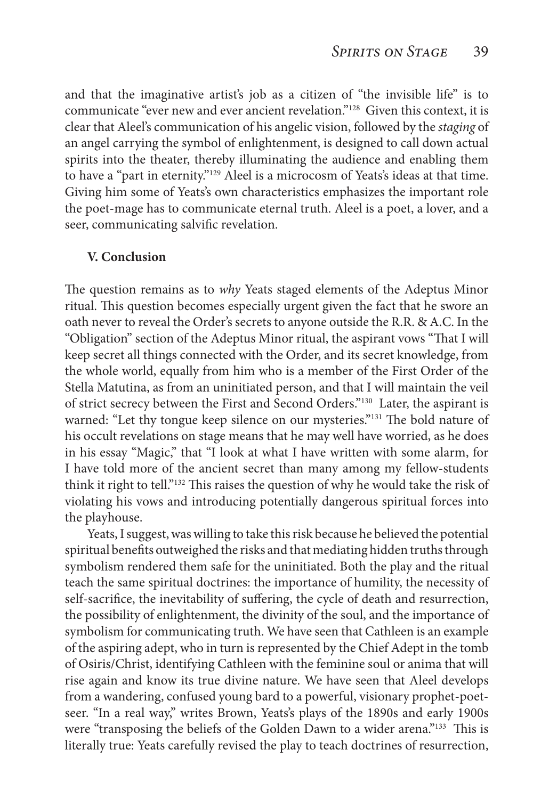and that the imaginative artist's job as a citizen of "the invisible life" is to communicate "ever new and ever ancient revelation."128 Given this context, it is clear that Aleel's communication of his angelic vision, followed by the *staging* of an angel carrying the symbol of enlightenment, is designed to call down actual spirits into the theater, thereby illuminating the audience and enabling them to have a "part in eternity."129 Aleel is a microcosm of Yeats's ideas at that time. Giving him some of Yeats's own characteristics emphasizes the important role the poet-mage has to communicate eternal truth. Aleel is a poet, a lover, and a seer, communicating salvific revelation.

#### **V. Conclusion**

The question remains as to *why* Yeats staged elements of the Adeptus Minor ritual. This question becomes especially urgent given the fact that he swore an oath never to reveal the Order's secrets to anyone outside the R.R. & A.C. In the "Obligation" section of the Adeptus Minor ritual, the aspirant vows "That I will keep secret all things connected with the Order, and its secret knowledge, from the whole world, equally from him who is a member of the First Order of the Stella Matutina, as from an uninitiated person, and that I will maintain the veil of strict secrecy between the First and Second Orders."130 Later, the aspirant is warned: "Let thy tongue keep silence on our mysteries."131 The bold nature of his occult revelations on stage means that he may well have worried, as he does in his essay "Magic," that "I look at what I have written with some alarm, for I have told more of the ancient secret than many among my fellow-students think it right to tell."132 This raises the question of why he would take the risk of violating his vows and introducing potentially dangerous spiritual forces into the playhouse.

Yeats, I suggest, was willing to take this risk because he believed the potential spiritual benefits outweighed the risks and that mediating hidden truths through symbolism rendered them safe for the uninitiated. Both the play and the ritual teach the same spiritual doctrines: the importance of humility, the necessity of self-sacrifice, the inevitability of suffering, the cycle of death and resurrection, the possibility of enlightenment, the divinity of the soul, and the importance of symbolism for communicating truth. We have seen that Cathleen is an example of the aspiring adept, who in turn is represented by the Chief Adept in the tomb of Osiris/Christ, identifying Cathleen with the feminine soul or anima that will rise again and know its true divine nature. We have seen that Aleel develops from a wandering, confused young bard to a powerful, visionary prophet-poetseer. "In a real way," writes Brown, Yeats's plays of the 1890s and early 1900s were "transposing the beliefs of the Golden Dawn to a wider arena."<sup>133</sup> This is literally true: Yeats carefully revised the play to teach doctrines of resurrection,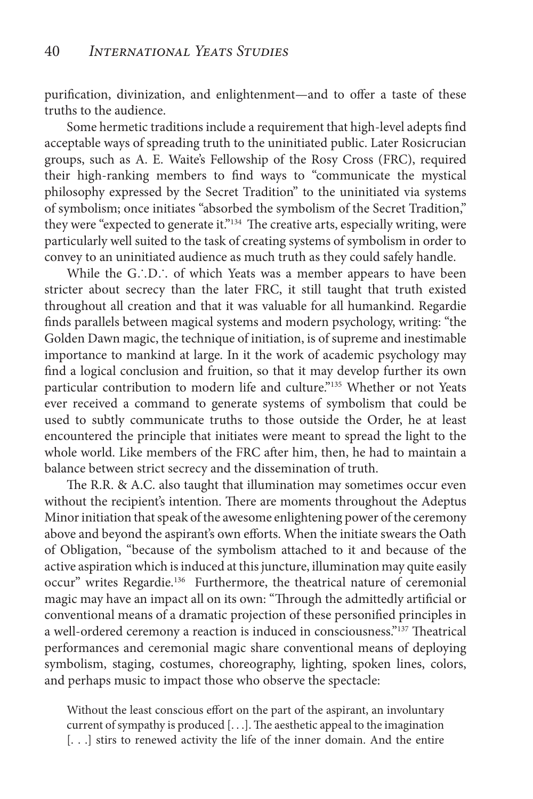purification, divinization, and enlightenment—and to offer a taste of these truths to the audience.

Some hermetic traditions include a requirement that high-level adepts find acceptable ways of spreading truth to the uninitiated public. Later Rosicrucian groups, such as A. E. Waite's Fellowship of the Rosy Cross (FRC), required their high-ranking members to find ways to "communicate the mystical philosophy expressed by the Secret Tradition" to the uninitiated via systems of symbolism; once initiates "absorbed the symbolism of the Secret Tradition," they were "expected to generate it."134 The creative arts, especially writing, were particularly well suited to the task of creating systems of symbolism in order to convey to an uninitiated audience as much truth as they could safely handle.

While the G∴D∴ of which Yeats was a member appears to have been stricter about secrecy than the later FRC, it still taught that truth existed throughout all creation and that it was valuable for all humankind. Regardie finds parallels between magical systems and modern psychology, writing: "the Golden Dawn magic, the technique of initiation, is of supreme and inestimable importance to mankind at large. In it the work of academic psychology may find a logical conclusion and fruition, so that it may develop further its own particular contribution to modern life and culture."135 Whether or not Yeats ever received a command to generate systems of symbolism that could be used to subtly communicate truths to those outside the Order, he at least encountered the principle that initiates were meant to spread the light to the whole world. Like members of the FRC after him, then, he had to maintain a balance between strict secrecy and the dissemination of truth.

The R.R. & A.C. also taught that illumination may sometimes occur even without the recipient's intention. There are moments throughout the Adeptus Minor initiation that speak of the awesome enlightening power of the ceremony above and beyond the aspirant's own efforts. When the initiate swears the Oath of Obligation, "because of the symbolism attached to it and because of the active aspiration which is induced at this juncture, illumination may quite easily occur" writes Regardie.<sup>136</sup> Furthermore, the theatrical nature of ceremonial magic may have an impact all on its own: "Through the admittedly artificial or conventional means of a dramatic projection of these personified principles in a well-ordered ceremony a reaction is induced in consciousness."137 Theatrical performances and ceremonial magic share conventional means of deploying symbolism, staging, costumes, choreography, lighting, spoken lines, colors, and perhaps music to impact those who observe the spectacle:

Without the least conscious effort on the part of the aspirant, an involuntary current of sympathy is produced [. . .]. The aesthetic appeal to the imagination [...] stirs to renewed activity the life of the inner domain. And the entire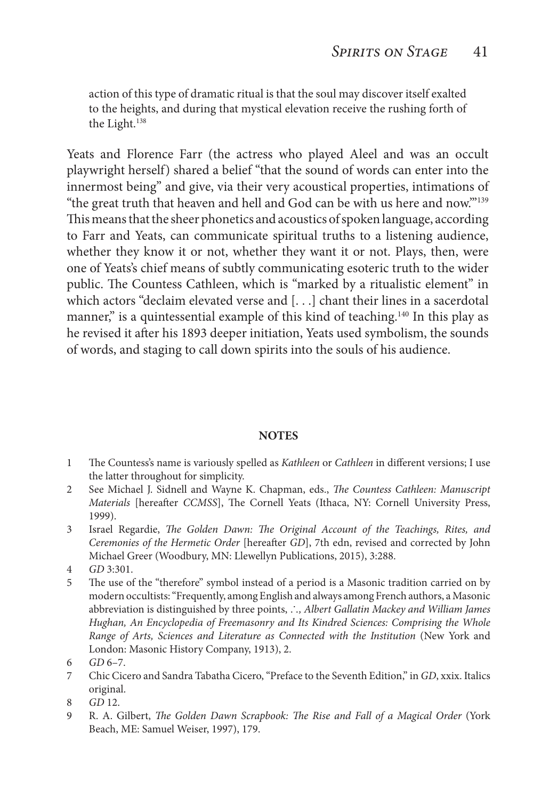action of this type of dramatic ritual is that the soul may discover itself exalted to the heights, and during that mystical elevation receive the rushing forth of the Light.<sup>138</sup>

Yeats and Florence Farr (the actress who played Aleel and was an occult playwright herself) shared a belief "that the sound of words can enter into the innermost being" and give, via their very acoustical properties, intimations of "the great truth that heaven and hell and God can be with us here and now.'"139 This means that the sheer phonetics and acoustics of spoken language, according to Farr and Yeats, can communicate spiritual truths to a listening audience, whether they know it or not, whether they want it or not. Plays, then, were one of Yeats's chief means of subtly communicating esoteric truth to the wider public. The Countess Cathleen, which is "marked by a ritualistic element" in which actors "declaim elevated verse and [. . .] chant their lines in a sacerdotal manner," is a quintessential example of this kind of teaching.<sup>140</sup> In this play as he revised it after his 1893 deeper initiation, Yeats used symbolism, the sounds of words, and staging to call down spirits into the souls of his audience.

#### **NOTES**

- 1 The Countess's name is variously spelled as *Kathleen* or *Cathleen* in different versions; I use the latter throughout for simplicity.
- 2 See Michael J. Sidnell and Wayne K. Chapman, eds., *The Countess Cathleen: Manuscript Materials* [hereafter *CCMSS*], The Cornell Yeats (Ithaca, NY: Cornell University Press, 1999).
- 3 Israel Regardie, *The Golden Dawn: The Original Account of the Teachings, Rites, and Ceremonies of the Hermetic Order* [hereafter *GD*], 7th edn, revised and corrected by John Michael Greer (Woodbury, MN: Llewellyn Publications, 2015), 3:288.
- 4 *GD* 3:301.
- 5 The use of the "therefore" symbol instead of a period is a Masonic tradition carried on by modern occultists: "Frequently, among English and always among French authors, a Masonic abbreviation is distinguished by three points, ∴*, Albert Gallatin Mackey and William James Hughan, An Encyclopedia of Freemasonry and Its Kindred Sciences: Comprising the Whole Range of Arts, Sciences and Literature as Connected with the Institution* (New York and London: Masonic History Company, 1913), 2.

- 7 Chic Cicero and Sandra Tabatha Cicero, "Preface to the Seventh Edition," in *GD*, xxix. Italics original.
- 8 *GD* 12.
- 9 R. A. Gilbert, *The Golden Dawn Scrapbook: The Rise and Fall of a Magical Order* (York Beach, ME: Samuel Weiser, 1997), 179.

<sup>6</sup> *GD* 6–7.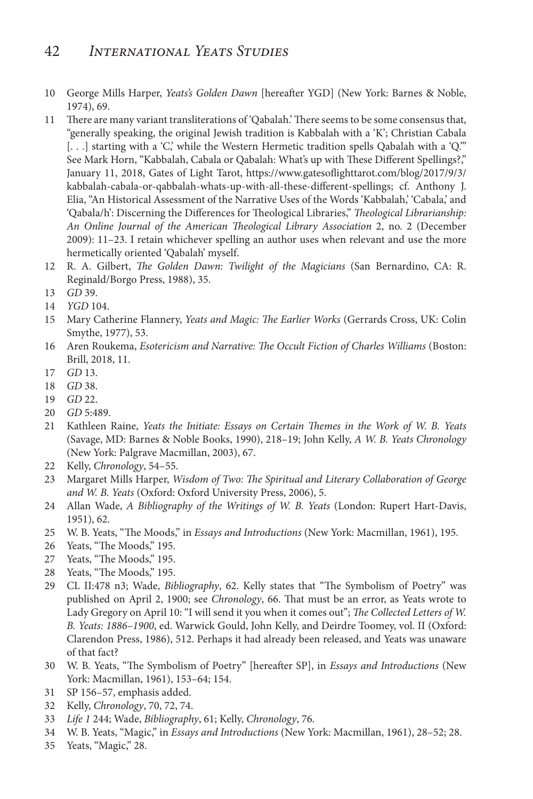### 42 *International Yeats Studies*

- 10 George Mills Harper, *Yeats's Golden Dawn* [hereafter YGD] (New York: Barnes & Noble, 1974), 69.
- 11 There are many variant transliterations of 'Qabalah.' There seems to be some consensus that, "generally speaking, the original Jewish tradition is Kabbalah with a 'K'; Christian Cabala [. . .] starting with a 'C,' while the Western Hermetic tradition spells Qabalah with a 'Q.'" See Mark Horn, "Kabbalah, Cabala or Qabalah: What's up with These Different Spellings?," January 11, 2018, Gates of Light Tarot, https://www.gatesoflighttarot.com/blog/2017/9/3/ kabbalah-cabala-or-qabbalah-whats-up-with-all-these-different-spellings; cf. Anthony J. Elia, "An Historical Assessment of the Narrative Uses of the Words 'Kabbalah,' 'Cabala,' and 'Qabala/h': Discerning the Differences for Theological Libraries," *Theological Librarianship: An Online Journal of the American Theological Library Association* 2, no. 2 (December 2009): 11–23. I retain whichever spelling an author uses when relevant and use the more hermetically oriented 'Qabalah' myself.
- 12 R. A. Gilbert, *The Golden Dawn: Twilight of the Magicians* (San Bernardino, CA: R. Reginald/Borgo Press, 1988), 35.
- 13 *GD* 39.
- 14 *YGD* 104.
- 15 Mary Catherine Flannery, *Yeats and Magic: The Earlier Works* (Gerrards Cross, UK: Colin Smythe, 1977), 53.
- 16 Aren Roukema, *Esotericism and Narrative: The Occult Fiction of Charles Williams* (Boston: Brill, 2018, 11.
- 17 *GD* 13.
- 18 *GD* 38.
- 19 *GD* 22.
- 20 *GD* 5:489.
- 21 Kathleen Raine, *Yeats the Initiate: Essays on Certain Themes in the Work of W. B. Yeats*  (Savage, MD: Barnes & Noble Books, 1990), 218–19; John Kelly, *A W. B. Yeats Chronology*  (New York: Palgrave Macmillan, 2003), 67.
- 22 Kelly, *Chronology*, 54–55.
- 23 Margaret Mills Harper, *Wisdom of Two: The Spiritual and Literary Collaboration of George and W. B. Yeats* (Oxford: Oxford University Press, 2006), 5.
- 24 Allan Wade, *A Bibliography of the Writings of W. B. Yeats* (London: Rupert Hart-Davis, 1951), 62.
- 25 W. B. Yeats, "The Moods," in *Essays and Introductions* (New York: Macmillan, 1961), 195.
- 26 Yeats, "The Moods," 195.
- 27 Yeats, "The Moods," 195.
- 28 Yeats, "The Moods," 195.
- 29 CL II:478 n3; Wade, *Bibliography*, 62. Kelly states that "The Symbolism of Poetry" was published on April 2, 1900; see *Chronology*, 66. That must be an error, as Yeats wrote to Lady Gregory on April 10: "I will send it you when it comes out"; *The Collected Letters of W. B. Yeats: 1886–1900*, ed. Warwick Gould, John Kelly, and Deirdre Toomey, vol. II (Oxford: Clarendon Press, 1986), 512. Perhaps it had already been released, and Yeats was unaware of that fact?
- 30 W. B. Yeats, "The Symbolism of Poetry" [hereafter SP], in *Essays and Introductions* (New York: Macmillan, 1961), 153–64; 154.
- 31 SP 156–57, emphasis added.
- 32 Kelly, *Chronology*, 70, 72, 74.
- 33 *Life 1* 244; Wade, *Bibliography*, 61; Kelly, *Chronology*, 76.
- 34 W. B. Yeats, "Magic," in *Essays and Introductions* (New York: Macmillan, 1961), 28–52; 28.
- 35 Yeats, "Magic," 28.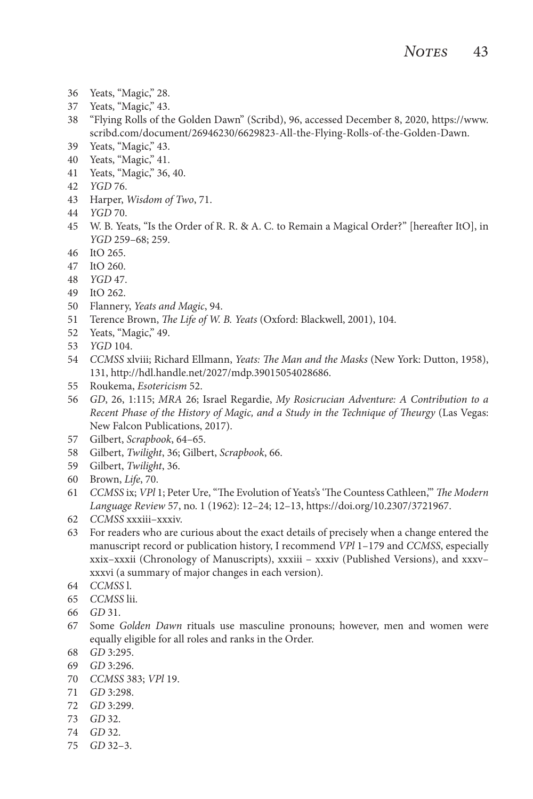- Yeats, "Magic," 28.
- Yeats, "Magic," 43.
- "Flying Rolls of the Golden Dawn" (Scribd), 96, accessed December 8, 2020, https://www. scribd.com/document/26946230/6629823-All-the-Flying-Rolls-of-the-Golden-Dawn.
- Yeats, "Magic," 43.
- Yeats, "Magic," 41.
- Yeats, "Magic," 36, 40.
- *YGD* 76.
- Harper, *Wisdom of Two*, 71.
- *YGD* 70.
- W. B. Yeats, "Is the Order of R. R. & A. C. to Remain a Magical Order?" [hereafter ItO], in *YGD* 259–68; 259.
- ItO 265.
- ItO 260.
- *YGD* 47.
- ItO 262.
- Flannery, *Yeats and Magic*, 94.
- Terence Brown, *The Life of W. B. Yeats* (Oxford: Blackwell, 2001), 104.
- Yeats, "Magic," 49.
- *YGD* 104.
- *CCMSS* xlviii; Richard Ellmann, *Yeats: The Man and the Masks* (New York: Dutton, 1958), 131, http://hdl.handle.net/2027/mdp.39015054028686.
- Roukema, *Esotericism* 52.
- *GD*, 26, 1:115; *MRA* 26; Israel Regardie, *My Rosicrucian Adventure: A Contribution to a Recent Phase of the History of Magic, and a Study in the Technique of Theurgy* (Las Vegas: New Falcon Publications, 2017).
- Gilbert, *Scrapbook*, 64–65.
- Gilbert, *Twilight*, 36; Gilbert, *Scrapbook*, 66.
- Gilbert, *Twilight*, 36.
- Brown, *Life*, 70.
- *CCMSS* ix; *VPl* 1; Peter Ure, "The Evolution of Yeats's 'The Countess Cathleen,'" *The Modern Language Review* 57, no. 1 (1962): 12–24; 12–13, https://doi.org/10.2307/3721967.
- *CCMSS* xxxiii–xxxiv.
- For readers who are curious about the exact details of precisely when a change entered the manuscript record or publication history, I recommend *VPl* 1–179 and *CCMSS*, especially xxix–xxxii (Chronology of Manuscripts), xxxiii – xxxiv (Published Versions), and xxxv– xxxvi (a summary of major changes in each version).
- *CCMSS* l.
- *CCMSS* lii.
- *GD* 31.
- Some *Golden Dawn* rituals use masculine pronouns; however, men and women were equally eligible for all roles and ranks in the Order.
- *GD* 3:295.
- *GD* 3:296.
- *CCMSS* 383; *VPl* 19.
- *GD* 3:298.
- *GD* 3:299.
- *GD* 32.
- *GD* 32.
- *GD* 32–3.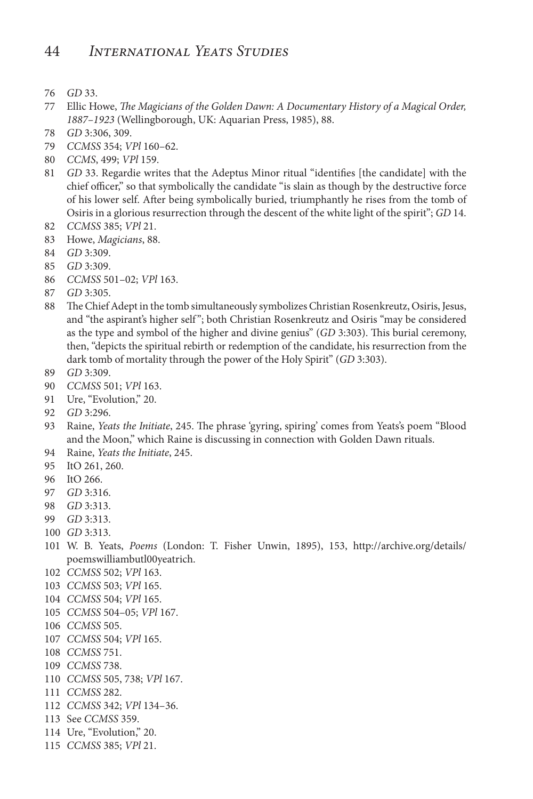- *GD* 33.
- Ellic Howe, *The Magicians of the Golden Dawn: A Documentary History of a Magical Order, 1887–1923* (Wellingborough, UK: Aquarian Press, 1985), 88.
- *GD* 3:306, 309.
- *CCMSS* 354; *VPl* 160–62.
- *CCMS*, 499; *VPl* 159.
- *GD* 33. Regardie writes that the Adeptus Minor ritual "identifies [the candidate] with the chief officer," so that symbolically the candidate "is slain as though by the destructive force of his lower self. After being symbolically buried, triumphantly he rises from the tomb of Osiris in a glorious resurrection through the descent of the white light of the spirit"; *GD* 14.
- *CCMSS* 385; *VPl* 21.
- Howe, *Magicians*, 88.
- *GD* 3:309.
- *GD* 3:309.
- *CCMSS* 501–02; *VPl* 163.
- *GD* 3:305.
- The Chief Adept in the tomb simultaneously symbolizes Christian Rosenkreutz, Osiris, Jesus, and "the aspirant's higher self "; both Christian Rosenkreutz and Osiris "may be considered as the type and symbol of the higher and divine genius" (*GD* 3:303). This burial ceremony, then, "depicts the spiritual rebirth or redemption of the candidate, his resurrection from the dark tomb of mortality through the power of the Holy Spirit" (*GD* 3:303).
- *GD* 3:309.
- *CCMSS* 501; *VPl* 163.
- Ure, "Evolution," 20.
- *GD* 3:296.
- Raine, *Yeats the Initiate*, 245. The phrase 'gyring, spiring' comes from Yeats's poem "Blood and the Moon," which Raine is discussing in connection with Golden Dawn rituals.
- Raine, *Yeats the Initiate*, 245.
- ItO 261, 260.
- ItO 266.
- *GD* 3:316.
- *GD* 3:313.
- *GD* 3:313.
- *GD* 3:313.
- W. B. Yeats, *Poems* (London: T. Fisher Unwin, 1895), 153, http://archive.org/details/ poemswilliambutl00yeatrich.
- *CCMSS* 502; *VPl* 163.
- *CCMSS* 503; *VPl* 165.
- *CCMSS* 504; *VPl* 165.
- *CCMSS* 504–05; *VPl* 167.
- *CCMSS* 505.
- *CCMSS* 504; *VPl* 165.
- *CCMSS* 751.
- *CCMSS* 738.
- *CCMSS* 505, 738; *VPl* 167.
- *CCMSS* 282.
- *CCMSS* 342; *VPl* 134–36.
- See *CCMSS* 359.
- Ure, "Evolution," 20.
- *CCMSS* 385; *VPl* 21.